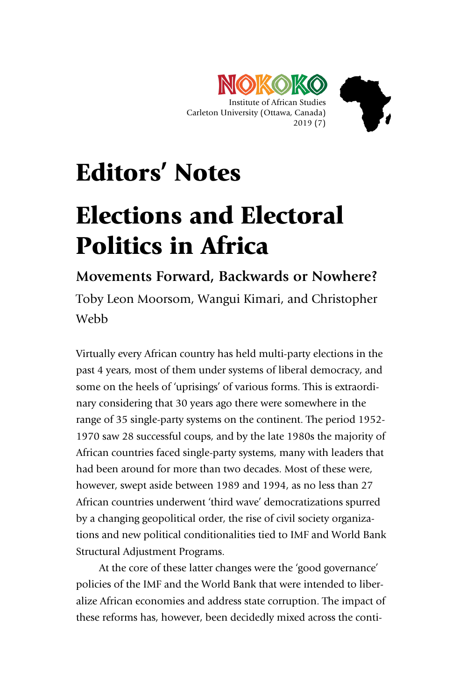

## Editors' Notes

## Elections and Electoral Politics in Africa

**Movements Forward, Backwards or Nowhere?**

Toby Leon Moorsom, Wangui Kimari, and Christopher Webb

Virtually every African country has held multi-party elections in the past 4 years, most of them under systems of liberal democracy, and some on the heels of 'uprisings' of various forms. This is extraordinary considering that 30 years ago there were somewhere in the range of 35 single-party systems on the continent. The period 1952- 1970 saw 28 successful coups, and by the late 1980s the majority of African countries faced single-party systems, many with leaders that had been around for more than two decades. Most of these were, however, swept aside between 1989 and 1994, as no less than 27 African countries underwent 'third wave' democratizations spurred by a changing geopolitical order, the rise of civil society organizations and new political conditionalities tied to IMF and World Bank Structural Adjustment Programs.

At the core of these latter changes were the 'good governance' policies of the IMF and the World Bank that were intended to liberalize African economies and address state corruption. The impact of these reforms has, however, been decidedly mixed across the conti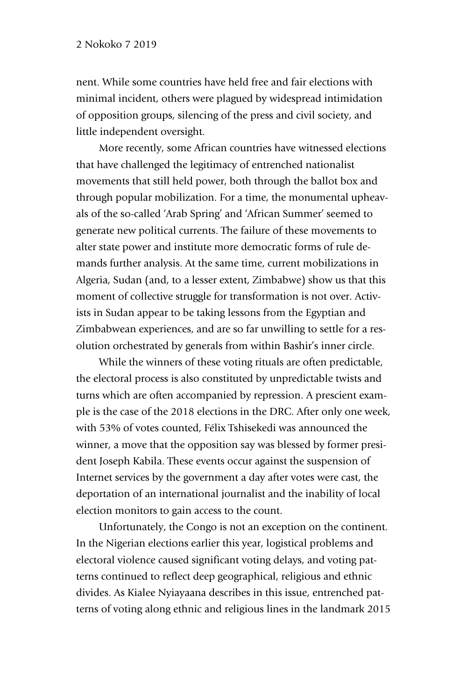nent. While some countries have held free and fair elections with minimal incident, others were plagued by widespread intimidation of opposition groups, silencing of the press and civil society, and little independent oversight.

More recently, some African countries have witnessed elections that have challenged the legitimacy of entrenched nationalist movements that still held power, both through the ballot box and through popular mobilization. For a time, the monumental upheavals of the so-called 'Arab Spring' and 'African Summer' seemed to generate new political currents. The failure of these movements to alter state power and institute more democratic forms of rule demands further analysis. At the same time, current mobilizations in Algeria, Sudan (and, to a lesser extent, Zimbabwe) show us that this moment of collective struggle for transformation is not over. Activists in Sudan appear to be taking lessons from the Egyptian and Zimbabwean experiences, and are so far unwilling to settle for a resolution orchestrated by generals from within Bashir's inner circle.

While the winners of these voting rituals are often predictable, the electoral process is also constituted by unpredictable twists and turns which are often accompanied by repression. A prescient example is the case of the 2018 elections in the DRC. After only one week, with 53% of votes counted, Félix Tshisekedi was announced the winner, a move that the opposition say was blessed by former president Joseph Kabila. These events occur against the suspension of Internet services by the government a day after votes were cast, the deportation of an international journalist and the inability of local election monitors to gain access to the count.

Unfortunately, the Congo is not an exception on the continent. In the Nigerian elections earlier this year, logistical problems and electoral violence caused significant voting delays, and voting patterns continued to reflect deep geographical, religious and ethnic divides. As Kialee Nyiayaana describes in this issue, entrenched patterns of voting along ethnic and religious lines in the landmark 2015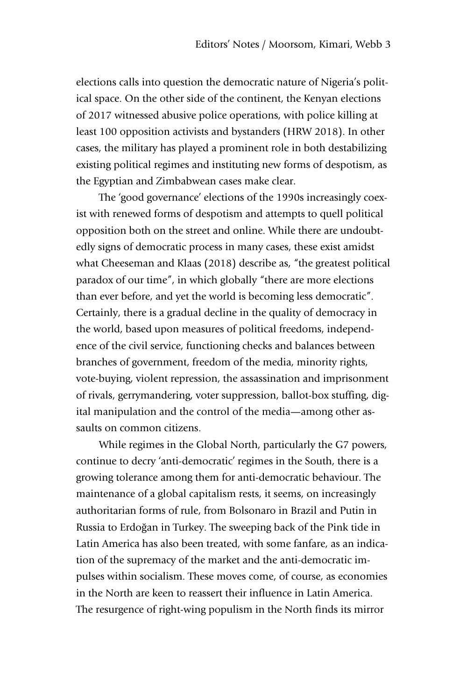elections calls into question the democratic nature of Nigeria's political space. On the other side of the continent, the Kenyan elections of 2017 witnessed abusive police operations, with police killing at least 100 opposition activists and bystanders (HRW 2018). In other cases, the military has played a prominent role in both destabilizing existing political regimes and instituting new forms of despotism, as the Egyptian and Zimbabwean cases make clear.

The 'good governance' elections of the 1990s increasingly coexist with renewed forms of despotism and attempts to quell political opposition both on the street and online. While there are undoubtedly signs of democratic process in many cases, these exist amidst what Cheeseman and Klaas (2018) describe as, "the greatest political paradox of our time", in which globally "there are more elections than ever before, and yet the world is becoming less democratic". Certainly, there is a gradual decline in the quality of democracy in the world, based upon measures of political freedoms, independence of the civil service, functioning checks and balances between branches of government, freedom of the media, minority rights, vote-buying, violent repression, the assassination and imprisonment of rivals, gerrymandering, voter suppression, ballot-box stuffing, digital manipulation and the control of the media—among other assaults on common citizens.

While regimes in the Global North, particularly the G7 powers, continue to decry 'anti-democratic' regimes in the South, there is a growing tolerance among them for anti-democratic behaviour. The maintenance of a global capitalism rests, it seems, on increasingly authoritarian forms of rule, from Bolsonaro in Brazil and Putin in Russia to Erdoğan in Turkey. The sweeping back of the Pink tide in Latin America has also been treated, with some fanfare, as an indication of the supremacy of the market and the anti-democratic impulses within socialism. These moves come, of course, as economies in the North are keen to reassert their influence in Latin America. The resurgence of right-wing populism in the North finds its mirror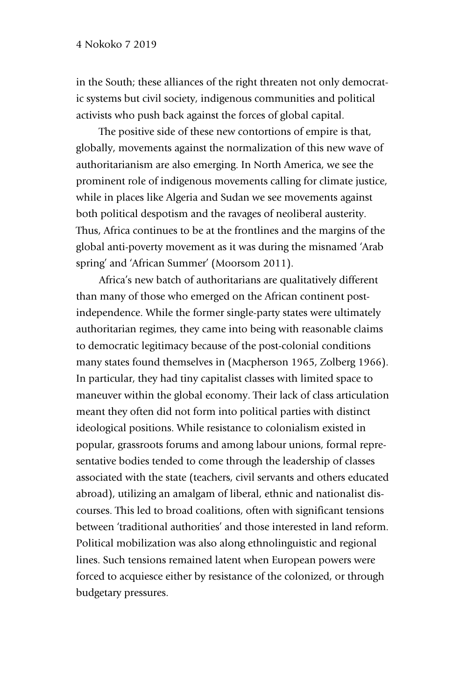in the South; these alliances of the right threaten not only democratic systems but civil society, indigenous communities and political activists who push back against the forces of global capital.

The positive side of these new contortions of empire is that, globally, movements against the normalization of this new wave of authoritarianism are also emerging. In North America, we see the prominent role of indigenous movements calling for climate justice, while in places like Algeria and Sudan we see movements against both political despotism and the ravages of neoliberal austerity. Thus, Africa continues to be at the frontlines and the margins of the global anti-poverty movement as it was during the misnamed 'Arab spring' and 'African Summer' (Moorsom 2011).

Africa's new batch of authoritarians are qualitatively different than many of those who emerged on the African continent postindependence. While the former single-party states were ultimately authoritarian regimes, they came into being with reasonable claims to democratic legitimacy because of the post-colonial conditions many states found themselves in (Macpherson 1965, Zolberg 1966). In particular, they had tiny capitalist classes with limited space to maneuver within the global economy. Their lack of class articulation meant they often did not form into political parties with distinct ideological positions. While resistance to colonialism existed in popular, grassroots forums and among labour unions, formal representative bodies tended to come through the leadership of classes associated with the state (teachers, civil servants and others educated abroad), utilizing an amalgam of liberal, ethnic and nationalist discourses. This led to broad coalitions, often with significant tensions between 'traditional authorities' and those interested in land reform. Political mobilization was also along ethnolinguistic and regional lines. Such tensions remained latent when European powers were forced to acquiesce either by resistance of the colonized, or through budgetary pressures.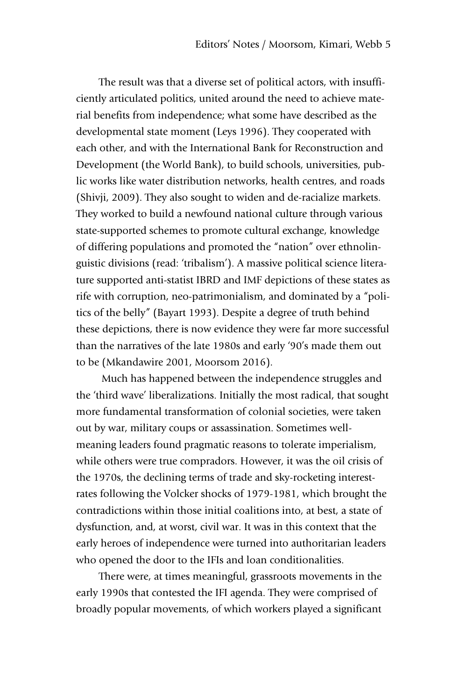The result was that a diverse set of political actors, with insufficiently articulated politics, united around the need to achieve material benefits from independence; what some have described as the developmental state moment (Leys 1996). They cooperated with each other, and with the International Bank for Reconstruction and Development (the World Bank), to build schools, universities, public works like water distribution networks, health centres, and roads (Shivji, 2009). They also sought to widen and de-racialize markets. They worked to build a newfound national culture through various state-supported schemes to promote cultural exchange, knowledge of differing populations and promoted the "nation" over ethnolinguistic divisions (read: 'tribalism'). A massive political science literature supported anti-statist IBRD and IMF depictions of these states as rife with corruption, neo-patrimonialism, and dominated by a "politics of the belly" (Bayart 1993). Despite a degree of truth behind these depictions, there is now evidence they were far more successful than the narratives of the late 1980s and early '90's made them out to be (Mkandawire 2001, Moorsom 2016).

Much has happened between the independence struggles and the 'third wave' liberalizations. Initially the most radical, that sought more fundamental transformation of colonial societies, were taken out by war, military coups or assassination. Sometimes wellmeaning leaders found pragmatic reasons to tolerate imperialism, while others were true compradors. However, it was the oil crisis of the 1970s, the declining terms of trade and sky-rocketing interestrates following the Volcker shocks of 1979-1981, which brought the contradictions within those initial coalitions into, at best, a state of dysfunction, and, at worst, civil war. It was in this context that the early heroes of independence were turned into authoritarian leaders who opened the door to the IFIs and loan conditionalities.

There were, at times meaningful, grassroots movements in the early 1990s that contested the IFI agenda. They were comprised of broadly popular movements, of which workers played a significant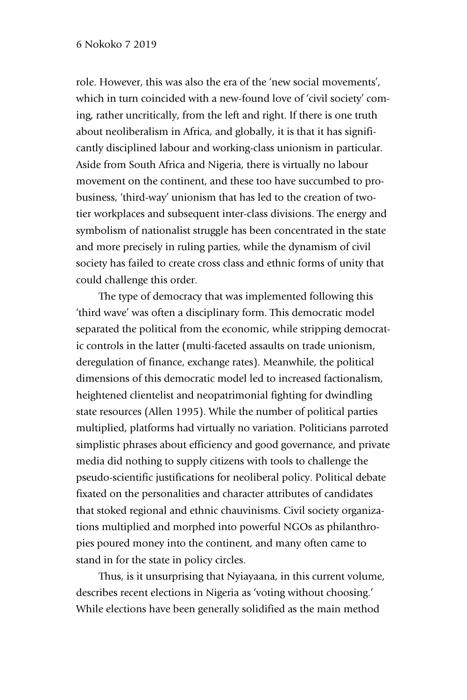role. However, this was also the era of the 'new social movements', which in turn coincided with a new-found love of 'civil society' coming, rather uncritically, from the left and right. If there is one truth about neoliberalism in Africa, and globally, it is that it has significantly disciplined labour and working-class unionism in particular. Aside from South Africa and Nigeria, there is virtually no labour movement on the continent, and these too have succumbed to probusiness, 'third-way' unionism that has led to the creation of twotier workplaces and subsequent inter-class divisions. The energy and symbolism of nationalist struggle has been concentrated in the state and more precisely in ruling parties, while the dynamism of civil society has failed to create cross class and ethnic forms of unity that could challenge this order.

The type of democracy that was implemented following this 'third wave' was often a disciplinary form. This democratic model separated the political from the economic, while stripping democratic controls in the latter (multi-faceted assaults on trade unionism, deregulation of finance, exchange rates). Meanwhile, the political dimensions of this democratic model led to increased factionalism, heightened clientelist and neopatrimonial fighting for dwindling state resources (Allen 1995). While the number of political parties multiplied, platforms had virtually no variation. Politicians parroted simplistic phrases about efficiency and good governance, and private media did nothing to supply citizens with tools to challenge the pseudo-scientific justifications for neoliberal policy. Political debate fixated on the personalities and character attributes of candidates that stoked regional and ethnic chauvinisms. Civil society organizations multiplied and morphed into powerful NGOs as philanthropies poured money into the continent, and many often came to stand in for the state in policy circles.

Thus, is it unsurprising that Nyiayaana, in this current volume, describes recent elections in Nigeria as 'voting without choosing.' While elections have been generally solidified as the main method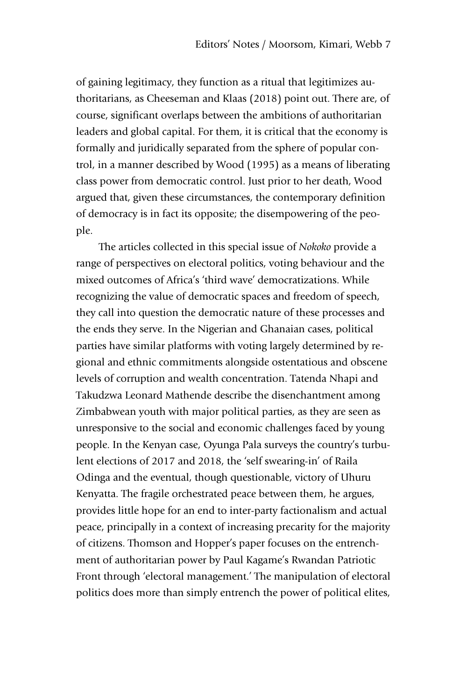of gaining legitimacy, they function as a ritual that legitimizes authoritarians, as Cheeseman and Klaas (2018) point out. There are, of course, significant overlaps between the ambitions of authoritarian leaders and global capital. For them, it is critical that the economy is formally and juridically separated from the sphere of popular control, in a manner described by Wood (1995) as a means of liberating class power from democratic control. Just prior to her death, Wood argued that, given these circumstances, the contemporary definition of democracy is in fact its opposite; the disempowering of the people.

The articles collected in this special issue of *Nokoko* provide a range of perspectives on electoral politics, voting behaviour and the mixed outcomes of Africa's 'third wave' democratizations. While recognizing the value of democratic spaces and freedom of speech, they call into question the democratic nature of these processes and the ends they serve. In the Nigerian and Ghanaian cases, political parties have similar platforms with voting largely determined by regional and ethnic commitments alongside ostentatious and obscene levels of corruption and wealth concentration. Tatenda Nhapi and Takudzwa Leonard Mathende describe the disenchantment among Zimbabwean youth with major political parties, as they are seen as unresponsive to the social and economic challenges faced by young people. In the Kenyan case, Oyunga Pala surveys the country's turbulent elections of 2017 and 2018, the 'self swearing-in' of Raila Odinga and the eventual, though questionable, victory of Uhuru Kenyatta. The fragile orchestrated peace between them, he argues, provides little hope for an end to inter-party factionalism and actual peace, principally in a context of increasing precarity for the majority of citizens. Thomson and Hopper's paper focuses on the entrenchment of authoritarian power by Paul Kagame's Rwandan Patriotic Front through 'electoral management.' The manipulation of electoral politics does more than simply entrench the power of political elites,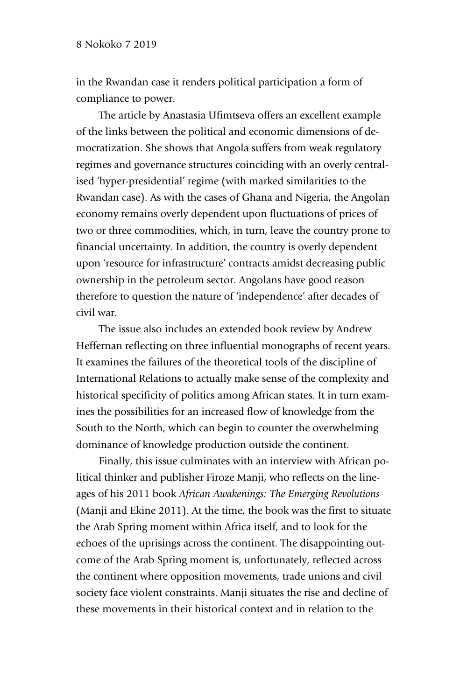in the Rwandan case it renders political participation a form of compliance to power.

The article by Anastasia Ufimtseva offers an excellent example of the links between the political and economic dimensions of democratization. She shows that Angola suffers from weak regulatory regimes and governance structures coinciding with an overly centralised 'hyper-presidential' regime (with marked similarities to the Rwandan case). As with the cases of Ghana and Nigeria, the Angolan economy remains overly dependent upon fluctuations of prices of two or three commodities, which, in turn, leave the country prone to financial uncertainty. In addition, the country is overly dependent upon 'resource for infrastructure' contracts amidst decreasing public ownership in the petroleum sector. Angolans have good reason therefore to question the nature of 'independence' after decades of civil war.

The issue also includes an extended book review by Andrew Heffernan reflecting on three influential monographs of recent years. It examines the failures of the theoretical tools of the discipline of International Relations to actually make sense of the complexity and historical specificity of politics among African states. It in turn examines the possibilities for an increased flow of knowledge from the South to the North, which can begin to counter the overwhelming dominance of knowledge production outside the continent.

Finally, this issue culminates with an interview with African political thinker and publisher Firoze Manji, who reflects on the lineages of his 2011 book *African Awakenings: The Emerging Revolutions*  (Manji and Ekine 2011). At the time, the book was the first to situate the Arab Spring moment within Africa itself, and to look for the echoes of the uprisings across the continent. The disappointing outcome of the Arab Spring moment is, unfortunately, reflected across the continent where opposition movements, trade unions and civil society face violent constraints. Manji situates the rise and decline of these movements in their historical context and in relation to the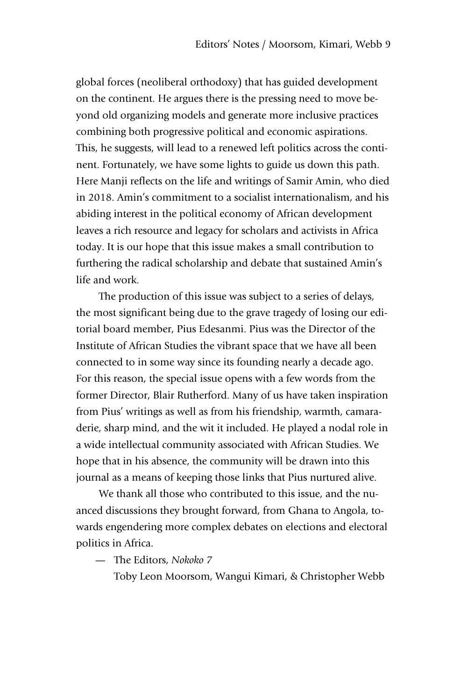global forces (neoliberal orthodoxy) that has guided development on the continent. He argues there is the pressing need to move beyond old organizing models and generate more inclusive practices combining both progressive political and economic aspirations. This, he suggests, will lead to a renewed left politics across the continent. Fortunately, we have some lights to guide us down this path. Here Manji reflects on the life and writings of Samir Amin, who died in 2018. Amin's commitment to a socialist internationalism, and his abiding interest in the political economy of African development leaves a rich resource and legacy for scholars and activists in Africa today. It is our hope that this issue makes a small contribution to furthering the radical scholarship and debate that sustained Amin's life and work.

The production of this issue was subject to a series of delays, the most significant being due to the grave tragedy of losing our editorial board member, Pius Edesanmi. Pius was the Director of the Institute of African Studies the vibrant space that we have all been connected to in some way since its founding nearly a decade ago. For this reason, the special issue opens with a few words from the former Director, Blair Rutherford. Many of us have taken inspiration from Pius' writings as well as from his friendship, warmth, camaraderie, sharp mind, and the wit it included. He played a nodal role in a wide intellectual community associated with African Studies. We hope that in his absence, the community will be drawn into this journal as a means of keeping those links that Pius nurtured alive.

We thank all those who contributed to this issue, and the nuanced discussions they brought forward, from Ghana to Angola, towards engendering more complex debates on elections and electoral politics in Africa.

— The Editors, *Nokoko 7*

Toby Leon Moorsom, Wangui Kimari, & Christopher Webb